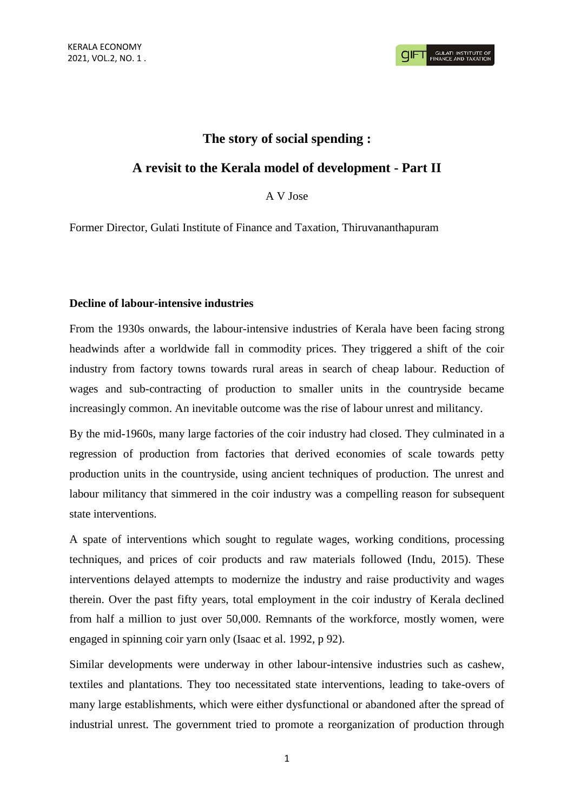# **The story of social spending :**

## **A revisit to the Kerala model of development - Part II**

A V Jose

Former Director, Gulati Institute of Finance and Taxation, Thiruvananthapuram

#### **Decline of labour-intensive industries**

From the 1930s onwards, the labour-intensive industries of Kerala have been facing strong headwinds after a worldwide fall in commodity prices. They triggered a shift of the coir industry from factory towns towards rural areas in search of cheap labour. Reduction of wages and sub-contracting of production to smaller units in the countryside became increasingly common. An inevitable outcome was the rise of labour unrest and militancy.

By the mid-1960s, many large factories of the coir industry had closed. They culminated in a regression of production from factories that derived economies of scale towards petty production units in the countryside, using ancient techniques of production. The unrest and labour militancy that simmered in the coir industry was a compelling reason for subsequent state interventions.

A spate of interventions which sought to regulate wages, working conditions, processing techniques, and prices of coir products and raw materials followed (Indu, 2015). These interventions delayed attempts to modernize the industry and raise productivity and wages therein. Over the past fifty years, total employment in the coir industry of Kerala declined from half a million to just over 50,000. Remnants of the workforce, mostly women, were engaged in spinning coir yarn only (Isaac et al. 1992, p 92).

Similar developments were underway in other labour-intensive industries such as cashew, textiles and plantations. They too necessitated state interventions, leading to take-overs of many large establishments, which were either dysfunctional or abandoned after the spread of industrial unrest. The government tried to promote a reorganization of production through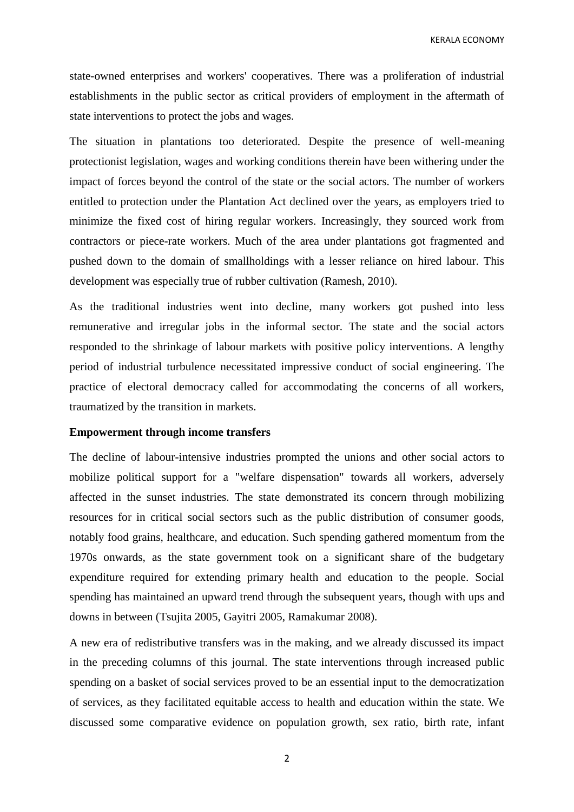KERALA ECONOMY

state-owned enterprises and workers' cooperatives. There was a proliferation of industrial establishments in the public sector as critical providers of employment in the aftermath of state interventions to protect the jobs and wages.

The situation in plantations too deteriorated. Despite the presence of well-meaning protectionist legislation, wages and working conditions therein have been withering under the impact of forces beyond the control of the state or the social actors. The number of workers entitled to protection under the Plantation Act declined over the years, as employers tried to minimize the fixed cost of hiring regular workers. Increasingly, they sourced work from contractors or piece-rate workers. Much of the area under plantations got fragmented and pushed down to the domain of smallholdings with a lesser reliance on hired labour. This development was especially true of rubber cultivation (Ramesh, 2010).

As the traditional industries went into decline, many workers got pushed into less remunerative and irregular jobs in the informal sector. The state and the social actors responded to the shrinkage of labour markets with positive policy interventions. A lengthy period of industrial turbulence necessitated impressive conduct of social engineering. The practice of electoral democracy called for accommodating the concerns of all workers, traumatized by the transition in markets.

### **Empowerment through income transfers**

The decline of labour-intensive industries prompted the unions and other social actors to mobilize political support for a "welfare dispensation" towards all workers, adversely affected in the sunset industries. The state demonstrated its concern through mobilizing resources for in critical social sectors such as the public distribution of consumer goods, notably food grains, healthcare, and education. Such spending gathered momentum from the 1970s onwards, as the state government took on a significant share of the budgetary expenditure required for extending primary health and education to the people. Social spending has maintained an upward trend through the subsequent years, though with ups and downs in between (Tsujita 2005, Gayitri 2005, Ramakumar 2008).

A new era of redistributive transfers was in the making, and we already discussed its impact in the preceding columns of this journal. The state interventions through increased public spending on a basket of social services proved to be an essential input to the democratization of services, as they facilitated equitable access to health and education within the state. We discussed some comparative evidence on population growth, sex ratio, birth rate, infant

2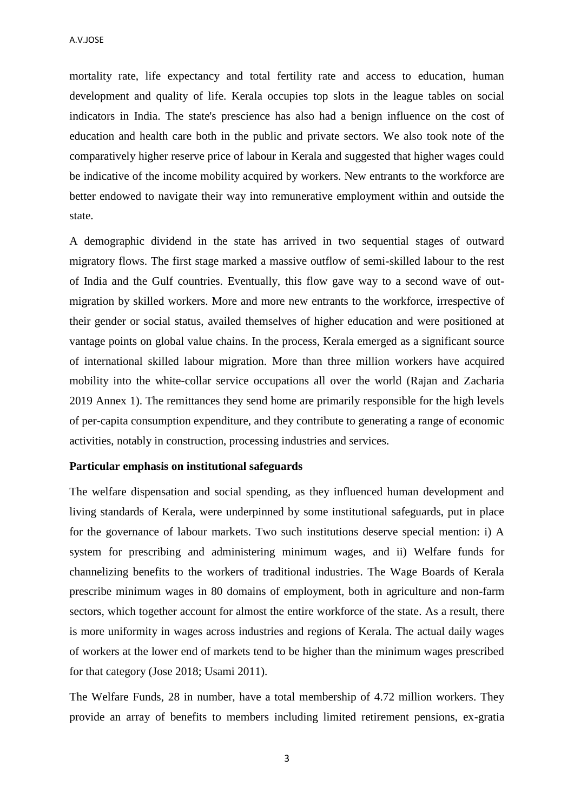A.V.JOSE

mortality rate, life expectancy and total fertility rate and access to education, human development and quality of life. Kerala occupies top slots in the league tables on social indicators in India. The state's prescience has also had a benign influence on the cost of education and health care both in the public and private sectors. We also took note of the comparatively higher reserve price of labour in Kerala and suggested that higher wages could be indicative of the income mobility acquired by workers. New entrants to the workforce are better endowed to navigate their way into remunerative employment within and outside the state.

A demographic dividend in the state has arrived in two sequential stages of outward migratory flows. The first stage marked a massive outflow of semi-skilled labour to the rest of India and the Gulf countries. Eventually, this flow gave way to a second wave of outmigration by skilled workers. More and more new entrants to the workforce, irrespective of their gender or social status, availed themselves of higher education and were positioned at vantage points on global value chains. In the process, Kerala emerged as a significant source of international skilled labour migration. More than three million workers have acquired mobility into the white-collar service occupations all over the world (Rajan and Zacharia 2019 Annex 1). The remittances they send home are primarily responsible for the high levels of per-capita consumption expenditure, and they contribute to generating a range of economic activities, notably in construction, processing industries and services.

## **Particular emphasis on institutional safeguards**

The welfare dispensation and social spending, as they influenced human development and living standards of Kerala, were underpinned by some institutional safeguards, put in place for the governance of labour markets. Two such institutions deserve special mention: i) A system for prescribing and administering minimum wages, and ii) Welfare funds for channelizing benefits to the workers of traditional industries. The Wage Boards of Kerala prescribe minimum wages in 80 domains of employment, both in agriculture and non-farm sectors, which together account for almost the entire workforce of the state. As a result, there is more uniformity in wages across industries and regions of Kerala. The actual daily wages of workers at the lower end of markets tend to be higher than the minimum wages prescribed for that category (Jose 2018; Usami 2011).

The Welfare Funds, 28 in number, have a total membership of 4.72 million workers. They provide an array of benefits to members including limited retirement pensions, ex-gratia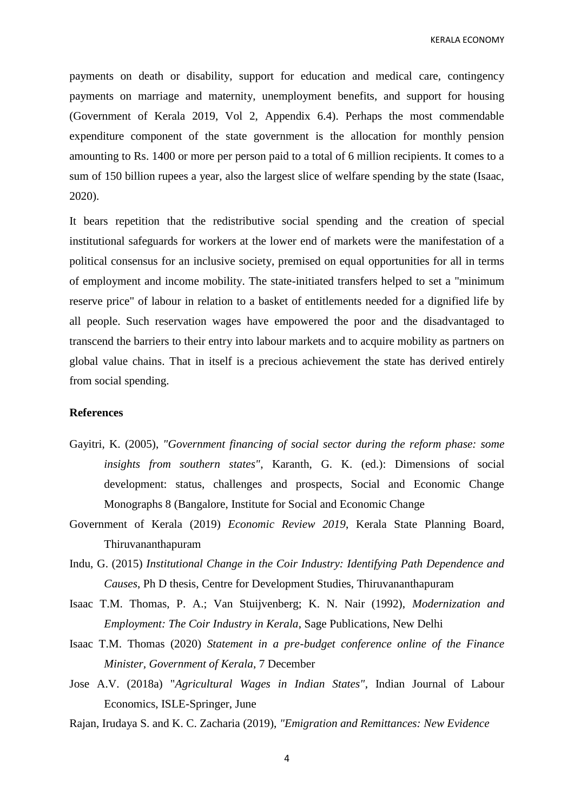KERALA ECONOMY

payments on death or disability, support for education and medical care, contingency payments on marriage and maternity, unemployment benefits, and support for housing (Government of Kerala 2019, Vol 2, Appendix 6.4). Perhaps the most commendable expenditure component of the state government is the allocation for monthly pension amounting to Rs. 1400 or more per person paid to a total of 6 million recipients. It comes to a sum of 150 billion rupees a year, also the largest slice of welfare spending by the state (Isaac, 2020).

It bears repetition that the redistributive social spending and the creation of special institutional safeguards for workers at the lower end of markets were the manifestation of a political consensus for an inclusive society, premised on equal opportunities for all in terms of employment and income mobility. The state-initiated transfers helped to set a "minimum reserve price" of labour in relation to a basket of entitlements needed for a dignified life by all people. Such reservation wages have empowered the poor and the disadvantaged to transcend the barriers to their entry into labour markets and to acquire mobility as partners on global value chains. That in itself is a precious achievement the state has derived entirely from social spending.

## **References**

- Gayitri, K. (2005), *"Government financing of social sector during the reform phase: some insights from southern states"*, Karanth, G. K. (ed.): Dimensions of social development: status, challenges and prospects, Social and Economic Change Monographs 8 (Bangalore, Institute for Social and Economic Change
- Government of Kerala (2019) *Economic Review 2019*, Kerala State Planning Board, Thiruvananthapuram
- Indu, G. (2015) *Institutional Change in the Coir Industry: Identifying Path Dependence and Causes*, Ph D thesis, Centre for Development Studies, Thiruvananthapuram
- Isaac T.M. Thomas, P. A.; Van Stuijvenberg; K. N. Nair (1992), *Modernization and Employment: The Coir Industry in Kerala*, Sage Publications, New Delhi
- Isaac T.M. Thomas (2020) *Statement in a pre-budget conference online of the Finance Minister, Government of Kerala*, 7 December
- Jose A.V. (2018a) "*Agricultural Wages in Indian States"*, Indian Journal of Labour Economics, ISLE-Springer, June
- Rajan, Irudaya S. and K. C. Zacharia (2019), *"Emigration and Remittances: New Evidence*

4